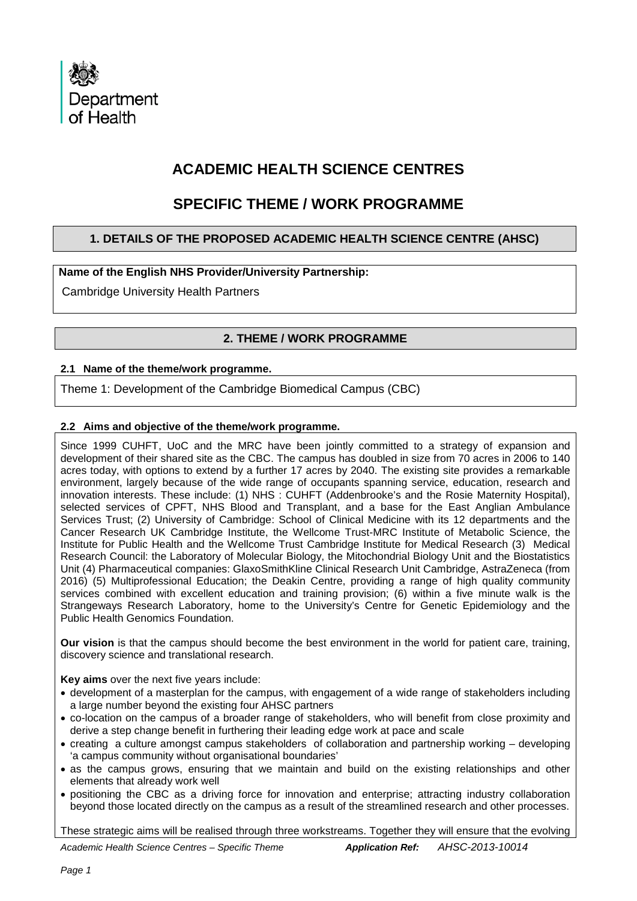

# **ACADEMIC HEALTH SCIENCE CENTRES**

# **SPECIFIC THEME / WORK PROGRAMME**

# **1. DETAILS OF THE PROPOSED ACADEMIC HEALTH SCIENCE CENTRE (AHSC)**

# **Name of the English NHS Provider/University Partnership:**

Cambridge University Health Partners

# **2. THEME / WORK PROGRAMME**

## **2.1 Name of the theme/work programme.**

Theme 1: Development of the Cambridge Biomedical Campus (CBC)

# **2.2 Aims and objective of the theme/work programme.**

Since 1999 CUHFT, UoC and the MRC have been jointly committed to a strategy of expansion and development of their shared site as the CBC. The campus has doubled in size from 70 acres in 2006 to 140 acres today, with options to extend by a further 17 acres by 2040. The existing site provides a remarkable environment, largely because of the wide range of occupants spanning service, education, research and innovation interests. These include: (1) NHS : CUHFT (Addenbrooke's and the Rosie Maternity Hospital), selected services of CPFT, NHS Blood and Transplant, and a base for the East Anglian Ambulance Services Trust; (2) University of Cambridge: School of Clinical Medicine with its 12 departments and the Cancer Research UK Cambridge Institute, the Wellcome Trust-MRC Institute of Metabolic Science, the Institute for Public Health and the Wellcome Trust Cambridge Institute for Medical Research (3) Medical Research Council: the Laboratory of Molecular Biology, the Mitochondrial Biology Unit and the Biostatistics Unit (4) Pharmaceutical companies: GlaxoSmithKline Clinical Research Unit Cambridge, AstraZeneca (from 2016) (5) Multiprofessional Education; the Deakin Centre, providing a range of high quality community services combined with excellent education and training provision; (6) within a five minute walk is the Strangeways Research Laboratory, home to the University's Centre for Genetic Epidemiology and the Public Health Genomics Foundation.

**Our vision** is that the campus should become the best environment in the world for patient care, training, discovery science and translational research.

**Key aims** over the next five years include:

- development of a masterplan for the campus, with engagement of a wide range of stakeholders including a large number beyond the existing four AHSC partners
- co-location on the campus of a broader range of stakeholders, who will benefit from close proximity and derive a step change benefit in furthering their leading edge work at pace and scale
- creating a culture amongst campus stakeholders of collaboration and partnership working developing 'a campus community without organisational boundaries'
- as the campus grows, ensuring that we maintain and build on the existing relationships and other elements that already work well
- positioning the CBC as a driving force for innovation and enterprise; attracting industry collaboration beyond those located directly on the campus as a result of the streamlined research and other processes.

These strategic aims will be realised through three workstreams. Together they will ensure that the evolving

*Academic Health Science Centres – Specific Theme Application Ref: AHSC-2013-10014*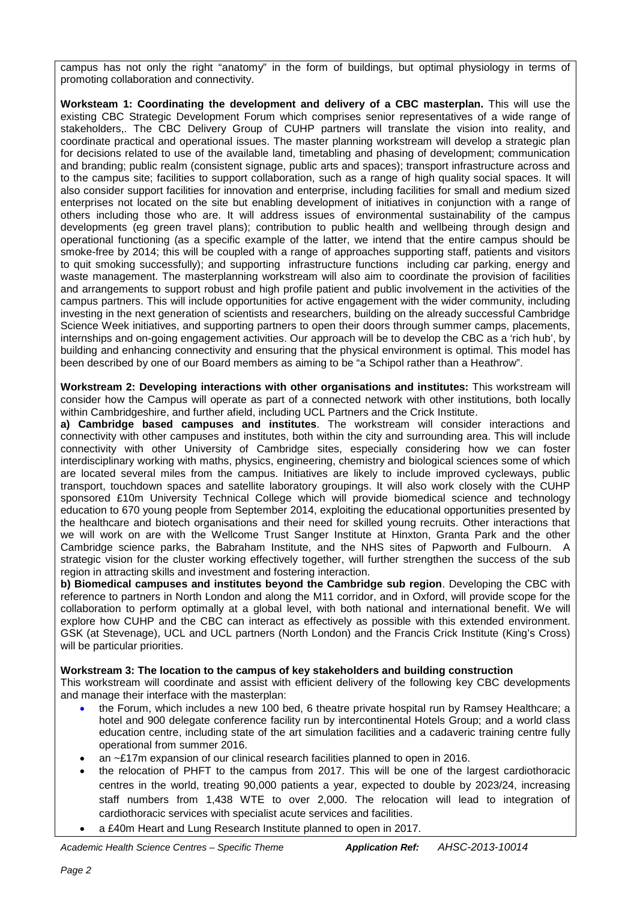campus has not only the right "anatomy" in the form of buildings, but optimal physiology in terms of promoting collaboration and connectivity.

**Worksteam 1: Coordinating the development and delivery of a CBC masterplan.** This will use the existing CBC Strategic Development Forum which comprises senior representatives of a wide range of stakeholders,. The CBC Delivery Group of CUHP partners will translate the vision into reality, and coordinate practical and operational issues. The master planning workstream will develop a strategic plan for decisions related to use of the available land, timetabling and phasing of development; communication and branding; public realm (consistent signage, public arts and spaces); transport infrastructure across and to the campus site; facilities to support collaboration, such as a range of high quality social spaces. It will also consider support facilities for innovation and enterprise, including facilities for small and medium sized enterprises not located on the site but enabling development of initiatives in conjunction with a range of others including those who are. It will address issues of environmental sustainability of the campus developments (eg green travel plans); contribution to public health and wellbeing through design and operational functioning (as a specific example of the latter, we intend that the entire campus should be smoke-free by 2014; this will be coupled with a range of approaches supporting staff, patients and visitors to quit smoking successfully); and supporting infrastructure functions including car parking, energy and waste management. The masterplanning workstream will also aim to coordinate the provision of facilities and arrangements to support robust and high profile patient and public involvement in the activities of the campus partners. This will include opportunities for active engagement with the wider community, including investing in the next generation of scientists and researchers, building on the already successful Cambridge Science Week initiatives, and supporting partners to open their doors through summer camps, placements, internships and on-going engagement activities. Our approach will be to develop the CBC as a 'rich hub', by building and enhancing connectivity and ensuring that the physical environment is optimal. This model has been described by one of our Board members as aiming to be "a Schipol rather than a Heathrow".

**Workstream 2: Developing interactions with other organisations and institutes:** This workstream will consider how the Campus will operate as part of a connected network with other institutions, both locally within Cambridgeshire, and further afield, including UCL Partners and the Crick Institute.

**a) Cambridge based campuses and institutes**. The workstream will consider interactions and connectivity with other campuses and institutes, both within the city and surrounding area. This will include connectivity with other University of Cambridge sites, especially considering how we can foster interdisciplinary working with maths, physics, engineering, chemistry and biological sciences some of which are located several miles from the campus. Initiatives are likely to include improved cycleways, public transport, touchdown spaces and satellite laboratory groupings. It will also work closely with the CUHP sponsored £10m University Technical College which will provide biomedical science and technology education to 670 young people from September 2014, exploiting the educational opportunities presented by the healthcare and biotech organisations and their need for skilled young recruits. Other interactions that we will work on are with the Wellcome Trust Sanger Institute at Hinxton, Granta Park and the other Cambridge science parks, the Babraham Institute, and the NHS sites of Papworth and Fulbourn. A strategic vision for the cluster working effectively together, will further strengthen the success of the sub region in attracting skills and investment and fostering interaction.

**b) Biomedical campuses and institutes beyond the Cambridge sub region**. Developing the CBC with reference to partners in North London and along the M11 corridor, and in Oxford, will provide scope for the collaboration to perform optimally at a global level, with both national and international benefit. We will explore how CUHP and the CBC can interact as effectively as possible with this extended environment. GSK (at Stevenage), UCL and UCL partners (North London) and the Francis Crick Institute (King's Cross) will be particular priorities.

## **Workstream 3: The location to the campus of key stakeholders and building construction**

This workstream will coordinate and assist with efficient delivery of the following key CBC developments and manage their interface with the masterplan:

- the Forum, which includes a new 100 bed, 6 theatre private hospital run by Ramsey Healthcare; a hotel and 900 delegate conference facility run by intercontinental Hotels Group; and a world class education centre, including state of the art simulation facilities and a cadaveric training centre fully operational from summer 2016.
- an ~£17m expansion of our clinical research facilities planned to open in 2016.
- the relocation of PHFT to the campus from 2017. This will be one of the largest cardiothoracic centres in the world, treating 90,000 patients a year, expected to double by 2023/24, increasing staff numbers from 1,438 WTE to over 2,000. The relocation will lead to integration of cardiothoracic services with specialist acute services and facilities.
- a £40m Heart and Lung Research Institute planned to open in 2017.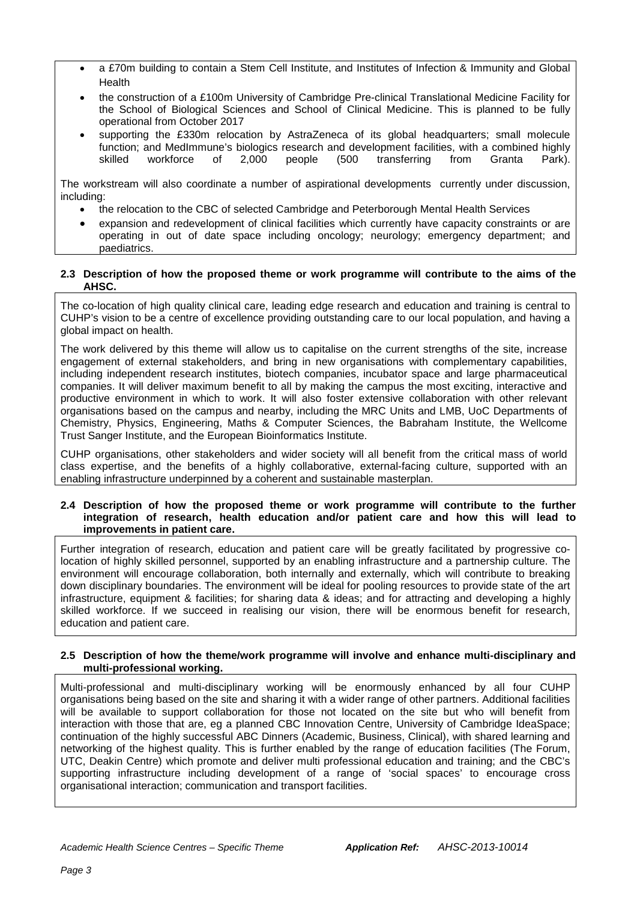- a £70m building to contain a Stem Cell Institute, and Institutes of Infection & Immunity and Global Health
- the construction of a £100m University of Cambridge Pre-clinical Translational Medicine Facility for the School of Biological Sciences and School of Clinical Medicine. This is planned to be fully operational from October 2017
- supporting the £330m relocation by AstraZeneca of its global headquarters; small molecule function; and MedImmune's biologics research and development facilities, with a combined highly<br>skilled workforce of 2.000 people (500 transferring from Granta Park). transferring from Granta Park).

The workstream will also coordinate a number of aspirational developments currently under discussion, including:

- the relocation to the CBC of selected Cambridge and Peterborough Mental Health Services
- expansion and redevelopment of clinical facilities which currently have capacity constraints or are operating in out of date space including oncology; neurology; emergency department; and paediatrics.

### **2.3 Description of how the proposed theme or work programme will contribute to the aims of the AHSC.**

The co-location of high quality clinical care, leading edge research and education and training is central to CUHP's vision to be a centre of excellence providing outstanding care to our local population, and having a global impact on health.

The work delivered by this theme will allow us to capitalise on the current strengths of the site, increase engagement of external stakeholders, and bring in new organisations with complementary capabilities, including independent research institutes, biotech companies, incubator space and large pharmaceutical companies. It will deliver maximum benefit to all by making the campus the most exciting, interactive and productive environment in which to work. It will also foster extensive collaboration with other relevant organisations based on the campus and nearby, including the MRC Units and LMB, UoC Departments of Chemistry, Physics, Engineering, Maths & Computer Sciences, the Babraham Institute, the Wellcome Trust Sanger Institute, and the European Bioinformatics Institute.

CUHP organisations, other stakeholders and wider society will all benefit from the critical mass of world class expertise, and the benefits of a highly collaborative, external-facing culture, supported with an enabling infrastructure underpinned by a coherent and sustainable masterplan.

#### **2.4 Description of how the proposed theme or work programme will contribute to the further integration of research, health education and/or patient care and how this will lead to improvements in patient care.**

Further integration of research, education and patient care will be greatly facilitated by progressive colocation of highly skilled personnel, supported by an enabling infrastructure and a partnership culture. The environment will encourage collaboration, both internally and externally, which will contribute to breaking down disciplinary boundaries. The environment will be ideal for pooling resources to provide state of the art infrastructure, equipment & facilities; for sharing data & ideas; and for attracting and developing a highly skilled workforce. If we succeed in realising our vision, there will be enormous benefit for research, education and patient care.

### **2.5 Description of how the theme/work programme will involve and enhance multi-disciplinary and multi-professional working.**

Multi-professional and multi-disciplinary working will be enormously enhanced by all four CUHP organisations being based on the site and sharing it with a wider range of other partners. Additional facilities will be available to support collaboration for those not located on the site but who will benefit from interaction with those that are, eg a planned CBC Innovation Centre, University of Cambridge IdeaSpace; continuation of the highly successful ABC Dinners (Academic, Business, Clinical), with shared learning and networking of the highest quality. This is further enabled by the range of education facilities (The Forum, UTC, Deakin Centre) which promote and deliver multi professional education and training; and the CBC's supporting infrastructure including development of a range of 'social spaces' to encourage cross organisational interaction; communication and transport facilities.